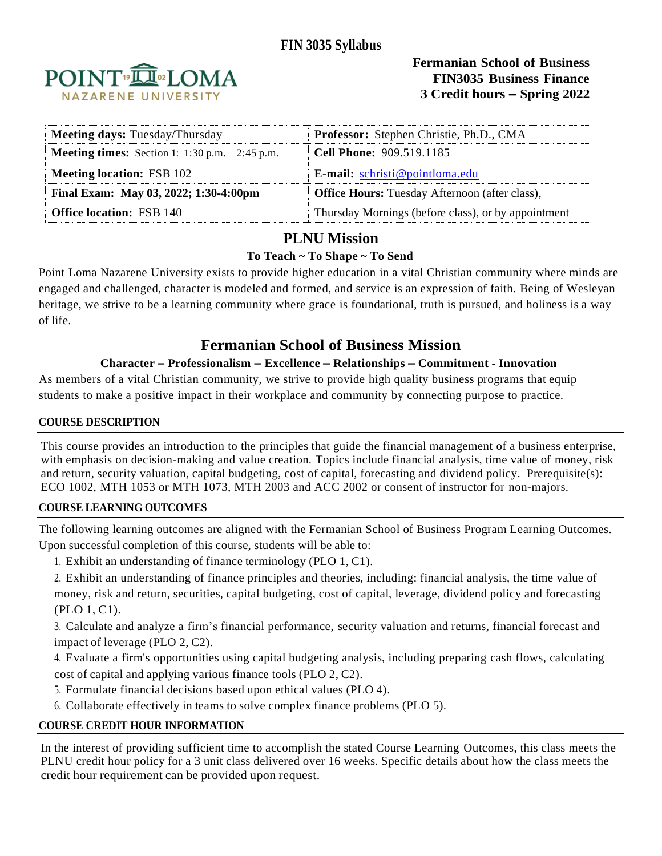

**Fermanian School of Business FIN3035 Business Finance 3 Credit hours – Spring 2022**

| Meeting days: Tuesday/Thursday                            | <b>Professor:</b> Stephen Christie, Ph.D., CMA        |
|-----------------------------------------------------------|-------------------------------------------------------|
| <b>Meeting times:</b> Section 1: $1:30$ p.m. $-2:45$ p.m. | <b>Cell Phone: 909.519.1185</b>                       |
| <b>Meeting location: FSB 102</b>                          | <b>E-mail:</b> $schristi@pointloma.edu$               |
| Final Exam: May 03, 2022; 1:30-4:00pm                     | <b>Office Hours:</b> Tuesday Afternoon (after class), |
| <b>Office location: FSB 140</b>                           | Thursday Mornings (before class), or by appointment   |

# **PLNU Mission**

## **To Teach ~ To Shape ~ To Send**

Point Loma Nazarene University exists to provide higher education in a vital Christian community where minds are engaged and challenged, character is modeled and formed, and service is an expression of faith. Being of Wesleyan heritage, we strive to be a learning community where grace is foundational, truth is pursued, and holiness is a way of life.

# **Fermanian School of Business Mission**

## **Character – Professionalism – Excellence – Relationships – Commitment - Innovation**

As members of a vital Christian community, we strive to provide high quality business programs that equip students to make a positive impact in their workplace and community by connecting purpose to practice.

## **COURSE DESCRIPTION**

This course provides an introduction to the principles that guide the financial management of a business enterprise, with emphasis on decision-making and value creation. Topics include financial analysis, time value of money, risk and return, security valuation, capital budgeting, cost of capital, forecasting and dividend policy. Prerequisite(s): ECO 1002, MTH 1053 or MTH 1073, MTH 2003 and ACC 2002 or consent of instructor for non-majors.

### **COURSE LEARNING OUTCOMES**

The following learning outcomes are aligned with the Fermanian School of Business Program Learning Outcomes. Upon successful completion of this course, students will be able to:

- 1. Exhibit an understanding of finance terminology (PLO 1, C1).
- 2. Exhibit an understanding of finance principles and theories, including: financial analysis, the time value of money, risk and return, securities, capital budgeting, cost of capital, leverage, dividend policy and forecasting (PLO 1, C1).

3. Calculate and analyze a firm's financial performance, security valuation and returns, financial forecast and impact of leverage (PLO 2, C2).

- 4. Evaluate a firm's opportunities using capital budgeting analysis, including preparing cash flows, calculating cost of capital and applying various finance tools (PLO 2, C2).
- 5. Formulate financial decisions based upon ethical values (PLO 4).
- 6. Collaborate effectively in teams to solve complex finance problems (PLO 5).

## **COURSE CREDIT HOUR INFORMATION**

In the interest of providing sufficient time to accomplish the stated Course Learning Outcomes, this class meets the PLNU credit hour policy for a 3 unit class delivered over 16 weeks. Specific details about how the class meets the credit hour requirement can be provided upon request.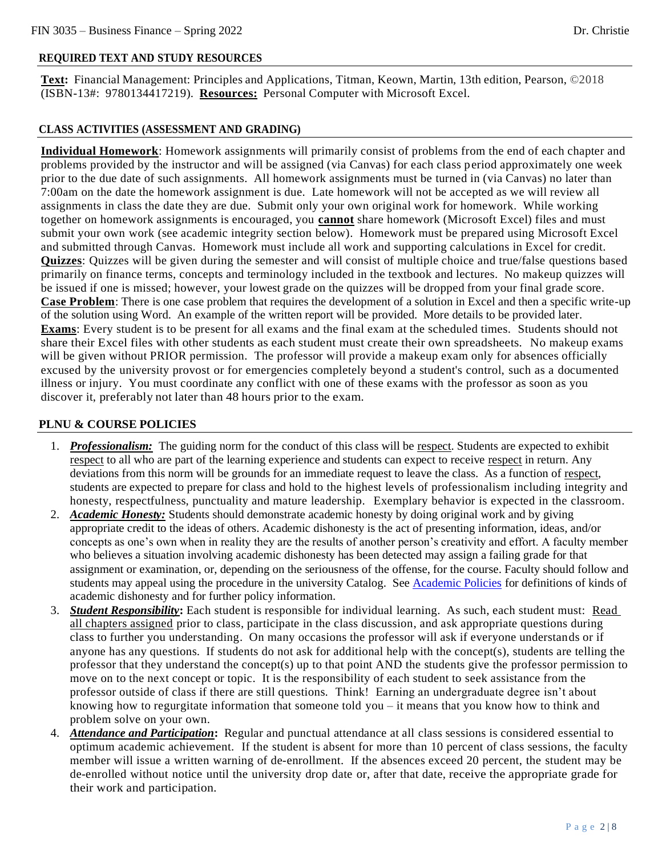### **REQUIRED TEXT AND STUDY RESOURCES**

**Text:** Financial Management: Principles and Applications, Titman, Keown, Martin, 13th edition, Pearson, ©2018 (ISBN-13#: 9780134417219). **Resources:** Personal Computer with Microsoft Excel.

#### **CLASS ACTIVITIES (ASSESSMENT AND GRADING)**

**Individual Homework**: Homework assignments will primarily consist of problems from the end of each chapter and problems provided by the instructor and will be assigned (via Canvas) for each class period approximately one week prior to the due date of such assignments. All homework assignments must be turned in (via Canvas) no later than 7:00am on the date the homework assignment is due. Late homework will not be accepted as we will review all assignments in class the date they are due. Submit only your own original work for homework. While working together on homework assignments is encouraged, you **cannot** share homework (Microsoft Excel) files and must submit your own work (see academic integrity section below). Homework must be prepared using Microsoft Excel and submitted through Canvas. Homework must include all work and supporting calculations in Excel for credit. **Quizzes**: Quizzes will be given during the semester and will consist of multiple choice and true/false questions based primarily on finance terms, concepts and terminology included in the textbook and lectures. No makeup quizzes will be issued if one is missed; however, your lowest grade on the quizzes will be dropped from your final grade score. **Case Problem**: There is one case problem that requires the development of a solution in Excel and then a specific write-up of the solution using Word. An example of the written report will be provided. More details to be provided later. **Exams**: Every student is to be present for all exams and the final exam at the scheduled times. Students should not share their Excel files with other students as each student must create their own spreadsheets. No makeup exams will be given without PRIOR permission. The professor will provide a makeup exam only for absences officially excused by the university provost or for emergencies completely beyond a student's control, such as a documented illness or injury. You must coordinate any conflict with one of these exams with the professor as soon as you discover it, preferably not later than 48 hours prior to the exam.

#### **PLNU & COURSE POLICIES**

- 1. *Professionalism:* The guiding norm for the conduct of this class will be respect. Students are expected to exhibit respect to all who are part of the learning experience and students can expect to receive respect in return. Any deviations from this norm will be grounds for an immediate request to leave the class. As a function of respect, students are expected to prepare for class and hold to the highest levels of professionalism including integrity and honesty, respectfulness, punctuality and mature leadership. Exemplary behavior is expected in the classroom.
- 2. *Academic Honesty:* Students should demonstrate academic honesty by doing original work and by giving appropriate credit to the ideas of others. Academic dishonesty is the act of presenting information, ideas, and/or concepts as one's own when in reality they are the results of another person's creativity and effort. A faculty member who believes a situation involving academic dishonesty has been detected may assign a failing grade for that assignment or examination, or, depending on the seriousness of the offense, for the course. Faculty should follow and students may appeal using the procedure in the university Catalog. Se[e Academic Policies](https://catalog.pointloma.edu/content.php?catoid=52&navoid=2919#Academic_Honesty) for definitions of kinds of academic dishonesty and for further policy information.
- 3. *Student Responsibility***:** Each student is responsible for individual learning. As such, each student must: Read all chapters assigned prior to class, participate in the class discussion, and ask appropriate questions during class to further you understanding. On many occasions the professor will ask if everyone understands or if anyone has any questions. If students do not ask for additional help with the concept(s), students are telling the professor that they understand the concept(s) up to that point AND the students give the professor permission to move on to the next concept or topic. It is the responsibility of each student to seek assistance from the professor outside of class if there are still questions. Think! Earning an undergraduate degree isn't about knowing how to regurgitate information that someone told you – it means that you know how to think and problem solve on your own.
- 4. *Attendance and Participation***:** Regular and punctual attendance at all class sessions is considered essential to optimum academic achievement. If the student is absent for more than 10 percent of class sessions, the faculty member will issue a written warning of de-enrollment. If the absences exceed 20 percent, the student may be de-enrolled without notice until the university drop date or, after that date, receive the appropriate grade for their work and participation.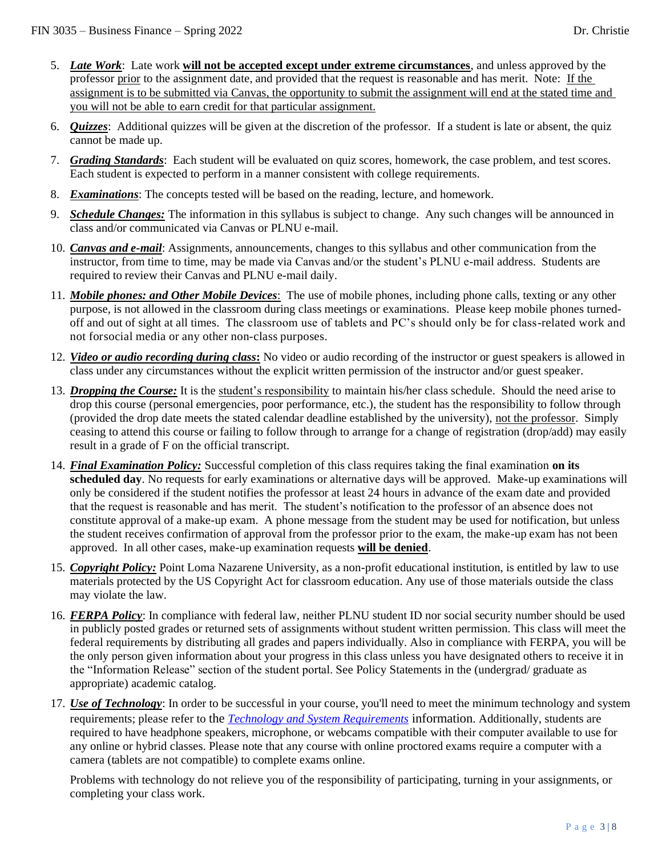- 5. *Late Work*: Late work **will not be accepted except under extreme circumstances**, and unless approved by the professor prior to the assignment date, and provided that the request is reasonable and has merit. Note: If the assignment is to be submitted via Canvas, the opportunity to submit the assignment will end at the stated time and you will not be able to earn credit for that particular assignment.
- 6. *Quizzes*: Additional quizzes will be given at the discretion of the professor. If a student is late or absent, the quiz cannot be made up.
- 7. *Grading Standards*: Each student will be evaluated on quiz scores, homework, the case problem, and test scores. Each student is expected to perform in a manner consistent with college requirements.
- 8. *Examinations*: The concepts tested will be based on the reading, lecture, and homework.
- 9. *Schedule Changes:* The information in this syllabus is subject to change. Any such changes will be announced in class and/or communicated via Canvas or PLNU e-mail.
- 10. *Canvas and e-mail*: Assignments, announcements, changes to this syllabus and other communication from the instructor, from time to time, may be made via Canvas and/or the student's PLNU e-mail address. Students are required to review their Canvas and PLNU e-mail daily.
- 11. *Mobile phones: and Other Mobile Devices*: The use of mobile phones, including phone calls, texting or any other purpose, is not allowed in the classroom during class meetings or examinations. Please keep mobile phones turnedoff and out of sight at all times. The classroom use of tablets and PC's should only be for class-related work and not forsocial media or any other non-class purposes.
- 12. *Video or audio recording during class***:** No video or audio recording of the instructor or guest speakers is allowed in class under any circumstances without the explicit written permission of the instructor and/or guest speaker.
- 13. *Dropping the Course:* It is the student's responsibility to maintain his/her class schedule. Should the need arise to drop this course (personal emergencies, poor performance, etc.), the student has the responsibility to follow through (provided the drop date meets the stated calendar deadline established by the university), not the professor. Simply ceasing to attend this course or failing to follow through to arrange for a change of registration (drop/add) may easily result in a grade of F on the official transcript.
- 14. *Final Examination Policy:* Successful completion of this class requires taking the final examination **on its scheduled day**. No requests for early examinations or alternative days will be approved. Make-up examinations will only be considered if the student notifies the professor at least 24 hours in advance of the exam date and provided that the request is reasonable and has merit. The student's notification to the professor of an absence does not constitute approval of a make-up exam. A phone message from the student may be used for notification, but unless the student receives confirmation of approval from the professor prior to the exam, the make-up exam has not been approved. In all other cases, make-up examination requests **will be denied**.
- 15. *Copyright Policy:* Point Loma Nazarene University, as a non-profit educational institution, is entitled by law to use materials protected by the US Copyright Act for classroom education. Any use of those materials outside the class may violate the law.
- 16. *FERPA Policy*: In compliance with federal law, neither PLNU student ID nor social security number should be used in publicly posted grades or returned sets of assignments without student written permission. This class will meet the federal requirements by distributing all grades and papers individually. Also in compliance with FERPA, you will be the only person given information about your progress in this class unless you have designated others to receive it in the "Information Release" section of the student portal. See [Policy Statements i](http://www.pointloma.edu/experience/academics/catalogs/undergraduate-catalog/policy-statements)n the (undergrad/ graduate as appropriate) academic catalog.
- 17. *Use of Technology*: In order to be successful in your course, you'll need to meet the minimum technology and system requirements; please refer to the *[Technology and System Requirements](https://help.pointloma.edu/TDClient/1808/Portal/KB/ArticleDet?ID=108349)* information. Additionally, students are required to have headphone speakers, microphone, or webcams compatible with their computer available to use for any online or hybrid classes. Please note that any course with online proctored exams require a computer with a camera (tablets are not compatible) to complete exams online.

Problems with technology do not relieve you of the responsibility of participating, turning in your assignments, or completing your class work.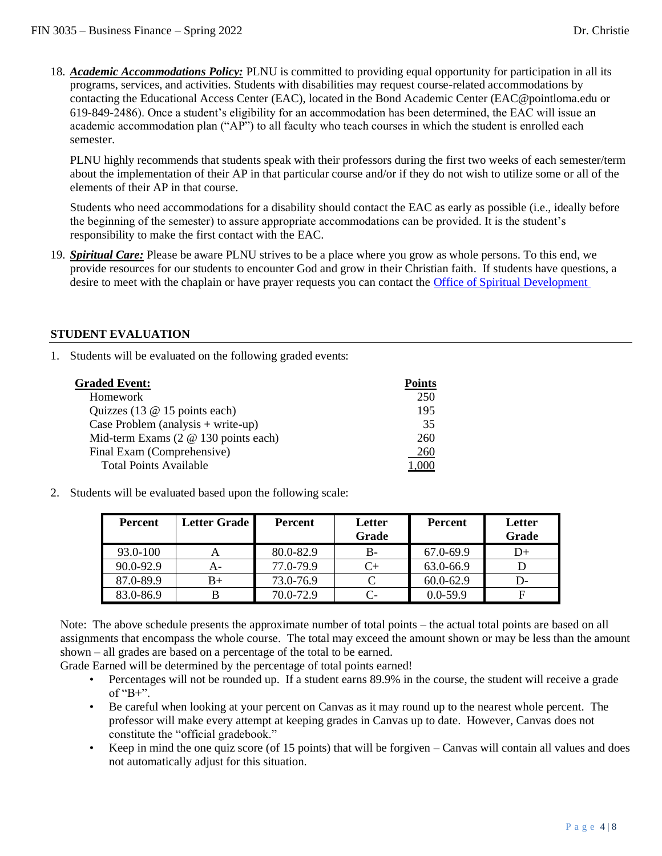18. *Academic Accommodations Policy:* PLNU is committed to providing equal opportunity for participation in all its programs, services, and activities. Students with disabilities may request course-related accommodations by contacting the Educational Access Center (EAC), located in the Bond Academic Center (EAC@pointloma.edu or 619-849-2486). Once a student's eligibility for an accommodation has been determined, the EAC will issue an academic accommodation plan ("AP") to all faculty who teach courses in which the student is enrolled each semester.

PLNU highly recommends that students speak with their professors during the first two weeks of each semester/term about the implementation of their AP in that particular course and/or if they do not wish to utilize some or all of the elements of their AP in that course.

Students who need accommodations for a disability should contact the EAC as early as possible (i.e., ideally before the beginning of the semester) to assure appropriate accommodations can be provided. It is the student's responsibility to make the first contact with the EAC.

19. *Spiritual Care:* Please be aware PLNU strives to be a place where you grow as whole persons. To this end, we provide resources for our students to encounter God and grow in their Christian faith. If students have questions, a desire to meet with the chaplain or have prayer requests you can contact the [Office of Spiritual Development](https://www.pointloma.edu/offices/spiritual-development)

#### **STUDENT EVALUATION**

1. Students will be evaluated on the following graded events:

| <b>Graded Event:</b>                        | <b>Points</b> |
|---------------------------------------------|---------------|
| <b>Homework</b>                             | 250           |
| Quizzes (13 $@$ 15 points each)             | 195           |
| Case Problem (analysis $+$ write-up)        | 35            |
| Mid-term Exams $(2 \t@ 130 \t points each)$ | 260           |
| Final Exam (Comprehensive)                  | 260           |
| <b>Total Points Available</b>               |               |

2. Students will be evaluated based upon the following scale:

| <b>Percent</b> | Letter Grade | <b>Percent</b> | Letter<br>Grade | Percent       | Letter<br>Grade |
|----------------|--------------|----------------|-----------------|---------------|-----------------|
| 93.0-100       | A            | 80.0-82.9      | B-              | 67.0-69.9     | D+              |
| 90.0-92.9      | A-           | 77.0-79.9      | C+              | 63.0-66.9     |                 |
| 87.0-89.9      | $B+$         | 73.0-76.9      | C               | $60.0 - 62.9$ | D-              |
| 83.0-86.9      |              | 70.0-72.9      | C-              | $0.0 - 59.9$  |                 |

Note: The above schedule presents the approximate number of total points – the actual total points are based on all assignments that encompass the whole course. The total may exceed the amount shown or may be less than the amount shown – all grades are based on a percentage of the total to be earned.

Grade Earned will be determined by the percentage of total points earned!

- Percentages will not be rounded up. If a student earns 89.9% in the course, the student will receive a grade of " $B+$ ".
- Be careful when looking at your percent on Canvas as it may round up to the nearest whole percent. The professor will make every attempt at keeping grades in Canvas up to date. However, Canvas does not constitute the "official gradebook."
- Keep in mind the one quiz score (of 15 points) that will be forgiven  $-$  Canvas will contain all values and does not automatically adjust for this situation.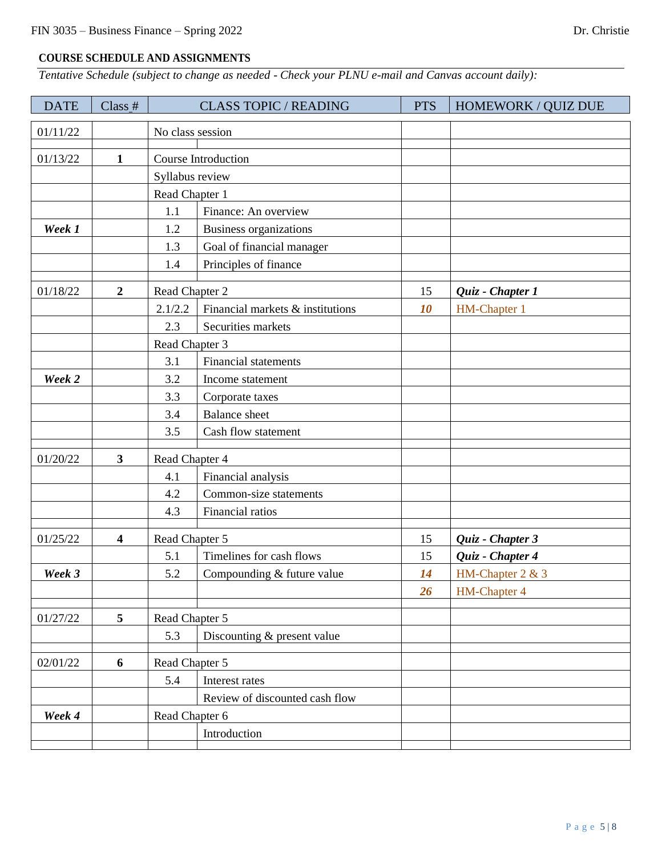# **COURSE SCHEDULE AND ASSIGNMENTS**

*Tentative Schedule (subject to change as needed - Check your PLNU e-mail and Canvas account daily):*

| <b>DATE</b> | Class #                 |                  | <b>CLASS TOPIC / READING</b>     | <b>PTS</b> | HOMEWORK / QUIZ DUE |
|-------------|-------------------------|------------------|----------------------------------|------------|---------------------|
| 01/11/22    |                         | No class session |                                  |            |                     |
| 01/13/22    | $\mathbf{1}$            |                  | Course Introduction              |            |                     |
|             |                         | Syllabus review  |                                  |            |                     |
|             |                         | Read Chapter 1   |                                  |            |                     |
|             |                         | 1.1              | Finance: An overview             |            |                     |
| Week 1      |                         | 1.2              | <b>Business organizations</b>    |            |                     |
|             |                         | 1.3              | Goal of financial manager        |            |                     |
|             |                         | 1.4              | Principles of finance            |            |                     |
| 01/18/22    | $\boldsymbol{2}$        | Read Chapter 2   |                                  | 15         | Quiz - Chapter 1    |
|             |                         | 2.1/2.2          | Financial markets & institutions | 10         | HM-Chapter 1        |
|             |                         | 2.3              | Securities markets               |            |                     |
|             |                         | Read Chapter 3   |                                  |            |                     |
|             |                         | 3.1              | <b>Financial statements</b>      |            |                     |
| Week 2      |                         | 3.2              | Income statement                 |            |                     |
|             |                         | 3.3              | Corporate taxes                  |            |                     |
|             |                         | 3.4              | <b>Balance</b> sheet             |            |                     |
|             |                         | 3.5              | Cash flow statement              |            |                     |
| 01/20/22    | $\mathbf{3}$            | Read Chapter 4   |                                  |            |                     |
|             |                         | 4.1              | Financial analysis               |            |                     |
|             |                         | 4.2              | Common-size statements           |            |                     |
|             |                         | 4.3              | Financial ratios                 |            |                     |
| 01/25/22    | $\overline{\mathbf{4}}$ | Read Chapter 5   |                                  | 15         | Quiz - Chapter 3    |
|             |                         | 5.1              | Timelines for cash flows         | 15         | Quiz - Chapter 4    |
| Week 3      |                         | 5.2              | Compounding & future value       | 14         | HM-Chapter 2 & 3    |
|             |                         |                  |                                  | 26         | <b>HM-Chapter 4</b> |
| 01/27/22    | 5                       | Read Chapter 5   |                                  |            |                     |
|             |                         | 5.3              | Discounting & present value      |            |                     |
| 02/01/22    | 6                       | Read Chapter 5   |                                  |            |                     |
|             |                         | 5.4              | Interest rates                   |            |                     |
|             |                         |                  | Review of discounted cash flow   |            |                     |
| Week 4      |                         | Read Chapter 6   |                                  |            |                     |
|             |                         |                  | Introduction                     |            |                     |
|             |                         |                  |                                  |            |                     |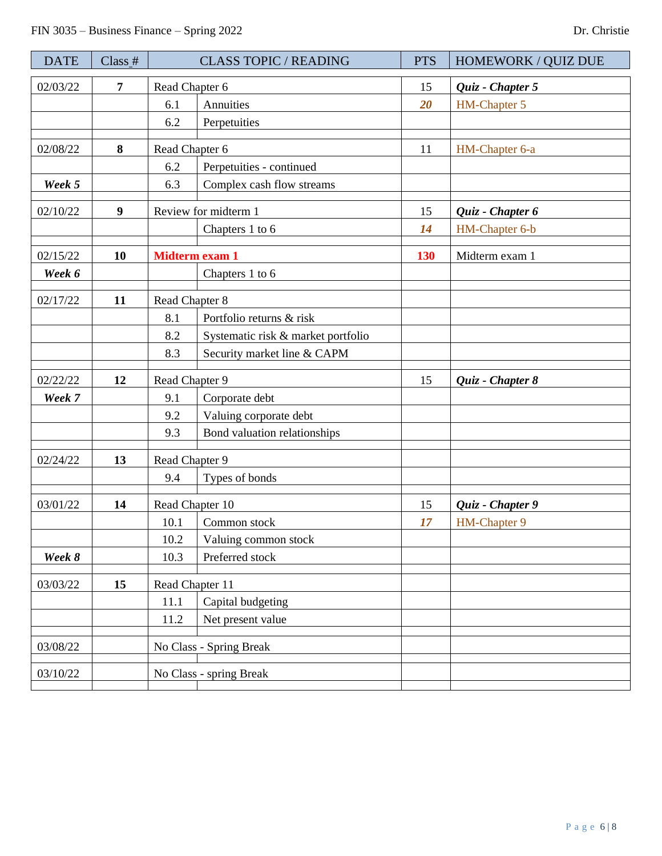| <b>DATE</b> | $Class_$ # | <b>CLASS TOPIC / READING</b> |                                    | <b>PTS</b> | HOMEWORK / QUIZ DUE |
|-------------|------------|------------------------------|------------------------------------|------------|---------------------|
| 02/03/22    | 7          | Read Chapter 6               |                                    | 15         | Quiz - Chapter 5    |
|             |            | 6.1                          | Annuities                          | 20         | HM-Chapter 5        |
|             |            | 6.2                          | Perpetuities                       |            |                     |
| 02/08/22    | 8          | Read Chapter 6               |                                    | 11         | HM-Chapter 6-a      |
|             |            | 6.2                          | Perpetuities - continued           |            |                     |
| Week 5      |            | 6.3                          | Complex cash flow streams          |            |                     |
| 02/10/22    | 9          |                              | Review for midterm 1               | 15         | Quiz - Chapter 6    |
|             |            |                              | Chapters 1 to 6                    | 14         | HM-Chapter 6-b      |
| 02/15/22    | <b>10</b>  | <b>Midterm exam 1</b>        |                                    | <b>130</b> | Midterm exam 1      |
| Week 6      |            |                              | Chapters 1 to 6                    |            |                     |
| 02/17/22    | 11         | Read Chapter 8               |                                    |            |                     |
|             |            | 8.1                          | Portfolio returns & risk           |            |                     |
|             |            | 8.2                          | Systematic risk & market portfolio |            |                     |
|             |            | 8.3                          | Security market line & CAPM        |            |                     |
| 02/22/22    | 12         | Read Chapter 9               |                                    | 15         | Quiz - Chapter 8    |
| Week 7      |            | 9.1                          | Corporate debt                     |            |                     |
|             |            | 9.2                          | Valuing corporate debt             |            |                     |
|             |            | 9.3                          | Bond valuation relationships       |            |                     |
| 02/24/22    | 13         | Read Chapter 9               |                                    |            |                     |
|             |            | 9.4                          | Types of bonds                     |            |                     |
| 03/01/22    | 14         | Read Chapter 10              |                                    | 15         | Quiz - Chapter 9    |
|             |            | 10.1                         | Common stock                       | 17         | HM-Chapter 9        |
|             |            | 10.2                         | Valuing common stock               |            |                     |
| Week 8      |            | 10.3                         | Preferred stock                    |            |                     |
| 03/03/22    | 15         | Read Chapter 11              |                                    |            |                     |
|             |            | 11.1                         | Capital budgeting                  |            |                     |
|             |            | 11.2                         | Net present value                  |            |                     |
| 03/08/22    |            | No Class - Spring Break      |                                    |            |                     |
| 03/10/22    |            |                              | No Class - spring Break            |            |                     |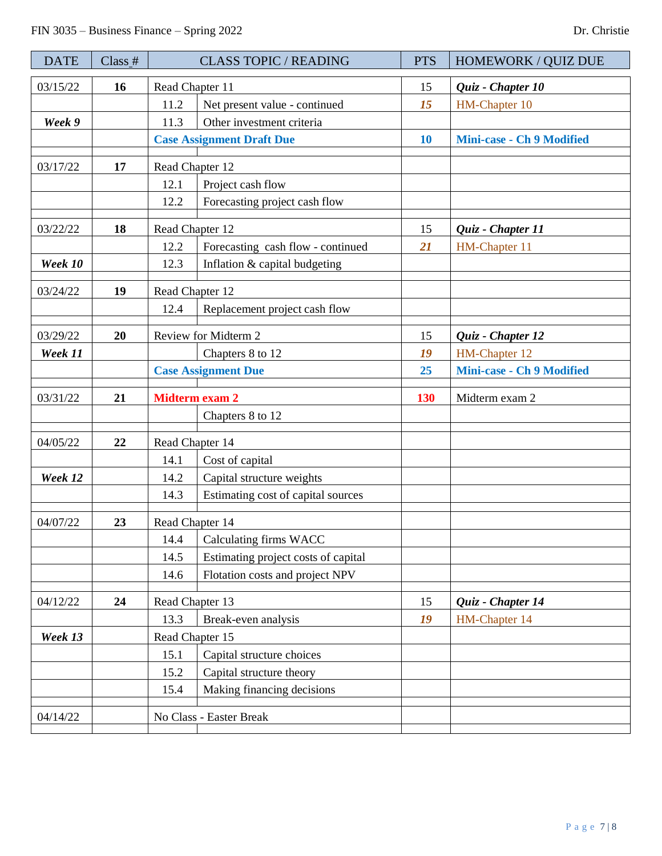| <b>DATE</b> | Class # | <b>CLASS TOPIC / READING</b> |                                     | <b>PTS</b> | <b>HOMEWORK / QUIZ DUE</b>                 |
|-------------|---------|------------------------------|-------------------------------------|------------|--------------------------------------------|
| 03/15/22    | 16      | Read Chapter 11              |                                     | 15         | Quiz - Chapter 10                          |
|             |         | 11.2                         | Net present value - continued       | 15         | HM-Chapter 10                              |
| Week 9      |         | 11.3                         | Other investment criteria           |            |                                            |
|             |         |                              | <b>Case Assignment Draft Due</b>    | <b>10</b>  | <b>Mini-case - Ch 9 Modified</b>           |
| 03/17/22    | 17      | Read Chapter 12              |                                     |            |                                            |
|             |         | 12.1                         | Project cash flow                   |            |                                            |
|             |         | 12.2                         | Forecasting project cash flow       |            |                                            |
| 03/22/22    | 18      | Read Chapter 12              |                                     | 15         | Quiz - Chapter 11                          |
|             |         | 12.2                         | Forecasting cash flow - continued   | 21         | HM-Chapter 11                              |
| Week 10     |         | 12.3                         | Inflation & capital budgeting       |            |                                            |
| 03/24/22    | 19      | Read Chapter 12              |                                     |            |                                            |
|             |         | 12.4                         | Replacement project cash flow       |            |                                            |
|             |         |                              |                                     |            |                                            |
| 03/29/22    | 20      |                              | Review for Midterm 2                | 15         | Quiz - Chapter 12                          |
| Week 11     |         | Chapters 8 to 12             |                                     | 19<br>25   | HM-Chapter 12<br>Mini-case - Ch 9 Modified |
|             |         | <b>Case Assignment Due</b>   |                                     |            |                                            |
| 03/31/22    | 21      | <b>Midterm exam 2</b>        |                                     | 130        | Midterm exam 2                             |
|             |         |                              | Chapters 8 to 12                    |            |                                            |
| 04/05/22    | 22      | Read Chapter 14              |                                     |            |                                            |
|             |         | 14.1                         | Cost of capital                     |            |                                            |
| Week 12     |         | 14.2                         | Capital structure weights           |            |                                            |
|             |         | 14.3                         | Estimating cost of capital sources  |            |                                            |
| 04/07/22    | 23      | Read Chapter 14              |                                     |            |                                            |
|             |         | 14.4                         | Calculating firms WACC              |            |                                            |
|             |         | 14.5                         | Estimating project costs of capital |            |                                            |
|             |         | 14.6                         | Flotation costs and project NPV     |            |                                            |
| 04/12/22    | 24      | Read Chapter 13              |                                     | 15         | Quiz - Chapter 14                          |
|             |         | 13.3                         | Break-even analysis                 | 19         | HM-Chapter 14                              |
| Week 13     |         | Read Chapter 15              |                                     |            |                                            |
|             |         | 15.1                         | Capital structure choices           |            |                                            |
|             |         | 15.2                         | Capital structure theory            |            |                                            |
|             |         | 15.4                         | Making financing decisions          |            |                                            |
| 04/14/22    |         | No Class - Easter Break      |                                     |            |                                            |